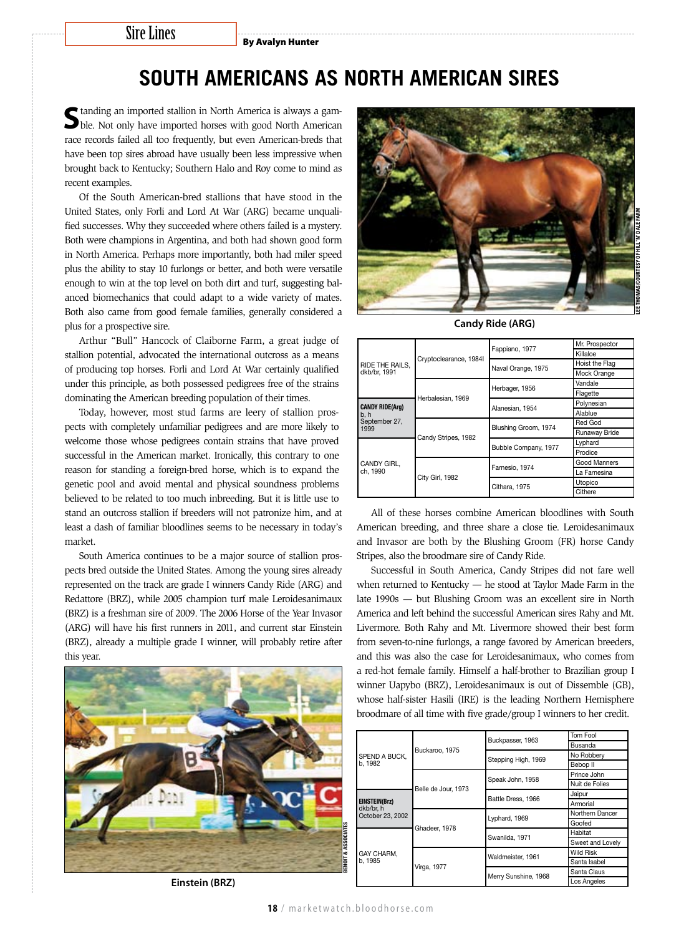## Sire Lines

By Avalyn Hunter

## **South Americans as North American Sires**

Standing an imported stallion in North America is always a gamble. Not only have imported horses with good North American race records failed all too frequently, but even American-breds that have been top sires abroad have usually been less impressive when brought back to Kentucky; Southern Halo and Roy come to mind as recent examples.

Of the South American-bred stallions that have stood in the United States, only Forli and Lord At War (ARG) became unqualified successes. Why they succeeded where others failed is a mystery. Both were champions in Argentina, and both had shown good form in North America. Perhaps more importantly, both had miler speed plus the ability to stay 10 furlongs or better, and both were versatile enough to win at the top level on both dirt and turf, suggesting balanced biomechanics that could adapt to a wide variety of mates. Both also came from good female families, generally considered a plus for a prospective sire.

Arthur "Bull" Hancock of Claiborne Farm, a great judge of stallion potential, advocated the international outcross as a means of producing top horses. Forli and Lord At War certainly qualified under this principle, as both possessed pedigrees free of the strains dominating the American breeding population of their times.

Today, however, most stud farms are leery of stallion prospects with completely unfamiliar pedigrees and are more likely to welcome those whose pedigrees contain strains that have proved successful in the American market. Ironically, this contrary to one reason for standing a foreign-bred horse, which is to expand the genetic pool and avoid mental and physical soundness problems believed to be related to too much inbreeding. But it is little use to stand an outcross stallion if breeders will not patronize him, and at least a dash of familiar bloodlines seems to be necessary in today's market.

South America continues to be a major source of stallion prospects bred outside the United States. Among the young sires already represented on the track are grade I winners Candy Ride (ARG) and Redattore (BRZ), while 2005 champion turf male Leroidesanimaux (BRZ) is a freshman sire of 2009. The 2006 Horse of the Year Invasor (ARG) will have his first runners in 2011, and current star Einstein (BRZ), already a multiple grade I winner, will probably retire after this year.



**Einstein (BRZ)**



**Candy Ride (ARG)**

|                         |                   | Fappiano, 1977<br>Cryptoclearance, 1984l<br>Naval Orange, 1975<br>Herbager, 1956<br>Alanesian, 1954<br>Blushing Groom, 1974<br>Candy Stripes, 1982<br>Bubble Company, 1977 | Mr. Prospector |
|-------------------------|-------------------|----------------------------------------------------------------------------------------------------------------------------------------------------------------------------|----------------|
|                         |                   |                                                                                                                                                                            | Killaloe       |
| RIDE THE RAILS.         |                   |                                                                                                                                                                            | Hoist the Flag |
| dkb/br, 1991            |                   |                                                                                                                                                                            | Mock Orange    |
|                         | Herbalesian, 1969 |                                                                                                                                                                            | Vandale        |
|                         |                   |                                                                                                                                                                            | Flagette       |
| <b>CANDY RIDE(Arg)</b>  |                   |                                                                                                                                                                            | Polynesian     |
| b, h                    |                   |                                                                                                                                                                            | Alablue        |
| September 27,           |                   | Farnesio, 1974<br>Cithara, 1975                                                                                                                                            | Red God        |
| 1999                    |                   |                                                                                                                                                                            | Runaway Bride  |
|                         |                   |                                                                                                                                                                            | Lyphard        |
|                         |                   |                                                                                                                                                                            | Prodice        |
| CANDY GIRL.<br>ch. 1990 | City Girl, 1982   |                                                                                                                                                                            | Good Manners   |
|                         |                   |                                                                                                                                                                            | La Farnesina   |
|                         |                   | Utopico                                                                                                                                                                    |                |
|                         |                   |                                                                                                                                                                            | Cithere        |

All of these horses combine American bloodlines with South American breeding, and three share a close tie. Leroidesanimaux and Invasor are both by the Blushing Groom (FR) horse Candy Stripes, also the broodmare sire of Candy Ride.

Successful in South America, Candy Stripes did not fare well when returned to Kentucky — he stood at Taylor Made Farm in the late 1990s — but Blushing Groom was an excellent sire in North America and left behind the successful American sires Rahy and Mt. Livermore. Both Rahy and Mt. Livermore showed their best form from seven-to-nine furlongs, a range favored by American breeders, and this was also the case for Leroidesanimaux, who comes from a red-hot female family. Himself a half-brother to Brazilian group I winner Uapybo (BRZ), Leroidesanimaux is out of Dissemble (GB), whose half-sister Hasili (IRE) is the leading Northern Hemisphere broodmare of all time with five grade/group I winners to her credit.

|                                                       | Buckpasser, 1963<br>Buckaroo, 1975<br>Stepping High, 1969<br>Speak John, 1958<br>Belle de Jour, 1973<br>Battle Dress, 1966<br>Lyphard, 1969<br>Ghadeer, 1978<br>Swanilda, 1971<br>Waldmeister, 1961 |                      | Tom Fool         |
|-------------------------------------------------------|-----------------------------------------------------------------------------------------------------------------------------------------------------------------------------------------------------|----------------------|------------------|
|                                                       |                                                                                                                                                                                                     | Busanda              |                  |
| SPEND A BUCK,                                         |                                                                                                                                                                                                     |                      | No Robbery       |
| b. 1982                                               |                                                                                                                                                                                                     | Bebop II             |                  |
|                                                       |                                                                                                                                                                                                     |                      | Prince John      |
|                                                       |                                                                                                                                                                                                     |                      | Nuit de Folies   |
| <b>EINSTEIN(Brz)</b><br>dkb/br. h<br>October 23, 2002 |                                                                                                                                                                                                     |                      | Jaipur           |
|                                                       |                                                                                                                                                                                                     | Armorial             |                  |
|                                                       |                                                                                                                                                                                                     | Merry Sunshine, 1968 | Northern Dancer  |
|                                                       |                                                                                                                                                                                                     |                      | Goofed           |
|                                                       |                                                                                                                                                                                                     |                      | Habitat          |
|                                                       |                                                                                                                                                                                                     |                      | Sweet and Lovely |
| GAY CHARM.                                            | Virga, 1977                                                                                                                                                                                         |                      | <b>Wild Risk</b> |
| b. 1985                                               |                                                                                                                                                                                                     |                      | Santa Isabel     |
|                                                       |                                                                                                                                                                                                     |                      | Santa Claus      |
|                                                       |                                                                                                                                                                                                     |                      | Los Angeles      |